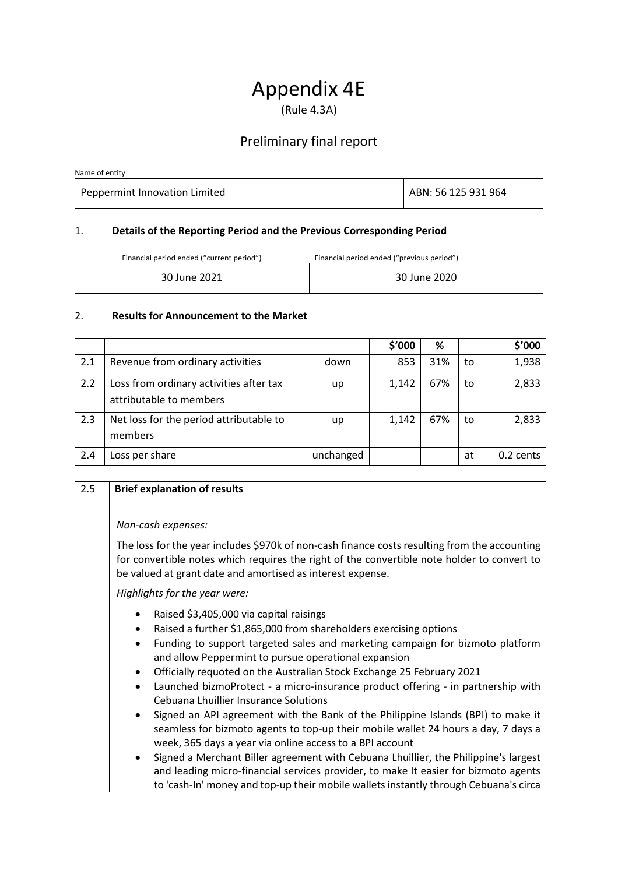# Appendix 4E

(Rule 4.3A)

## Preliminary final report

Name of entity

Peppermint Innovation Limited ABN: 56 125 931 964

### 1. **Details of the Reporting Period and the Previous Corresponding Period**

Financial period ended ("current period") Financial period ended ("previous period")

| 30 June 2021 | 30 June 2020 |
|--------------|--------------|
|              |              |

#### 2. **Results for Announcement to the Market**

|     |                                                                    |           | \$'000 | ℅   |    | \$'000    |
|-----|--------------------------------------------------------------------|-----------|--------|-----|----|-----------|
| 2.1 | Revenue from ordinary activities                                   | down      | 853    | 31% | to | 1,938     |
| 2.2 | Loss from ordinary activities after tax<br>attributable to members | up        | 1,142  | 67% | to | 2,833     |
| 2.3 | Net loss for the period attributable to<br>members                 | up        | 1,142  | 67% | to | 2,833     |
| 2.4 | Loss per share                                                     | unchanged |        |     | at | 0.2 cents |

| 2.5 | <b>Brief explanation of results</b>                                                                                                                                                                                                                                                                                                                                                                                                                                                                                                                                                              |  |  |  |  |
|-----|--------------------------------------------------------------------------------------------------------------------------------------------------------------------------------------------------------------------------------------------------------------------------------------------------------------------------------------------------------------------------------------------------------------------------------------------------------------------------------------------------------------------------------------------------------------------------------------------------|--|--|--|--|
|     | Non-cash expenses:                                                                                                                                                                                                                                                                                                                                                                                                                                                                                                                                                                               |  |  |  |  |
|     | The loss for the year includes \$970k of non-cash finance costs resulting from the accounting<br>for convertible notes which requires the right of the convertible note holder to convert to<br>be valued at grant date and amortised as interest expense.                                                                                                                                                                                                                                                                                                                                       |  |  |  |  |
|     | Highlights for the year were:                                                                                                                                                                                                                                                                                                                                                                                                                                                                                                                                                                    |  |  |  |  |
|     | Raised \$3,405,000 via capital raisings<br>٠<br>Raised a further \$1,865,000 from shareholders exercising options<br>$\bullet$<br>Funding to support targeted sales and marketing campaign for bizmoto platform<br>٠<br>and allow Peppermint to pursue operational expansion<br>Officially requoted on the Australian Stock Exchange 25 February 2021<br>Launched bizmoProtect - a micro-insurance product offering - in partnership with<br>$\bullet$<br>Cebuana Lhuillier Insurance Solutions<br>Signed an API agreement with the Bank of the Philippine Islands (BPI) to make it<br>$\bullet$ |  |  |  |  |
|     | seamless for bizmoto agents to top-up their mobile wallet 24 hours a day, 7 days a<br>week, 365 days a year via online access to a BPI account<br>Signed a Merchant Biller agreement with Cebuana Lhuillier, the Philippine's largest<br>$\bullet$<br>and leading micro-financial services provider, to make It easier for bizmoto agents                                                                                                                                                                                                                                                        |  |  |  |  |
|     | to 'cash-In' money and top-up their mobile wallets instantly through Cebuana's circa                                                                                                                                                                                                                                                                                                                                                                                                                                                                                                             |  |  |  |  |